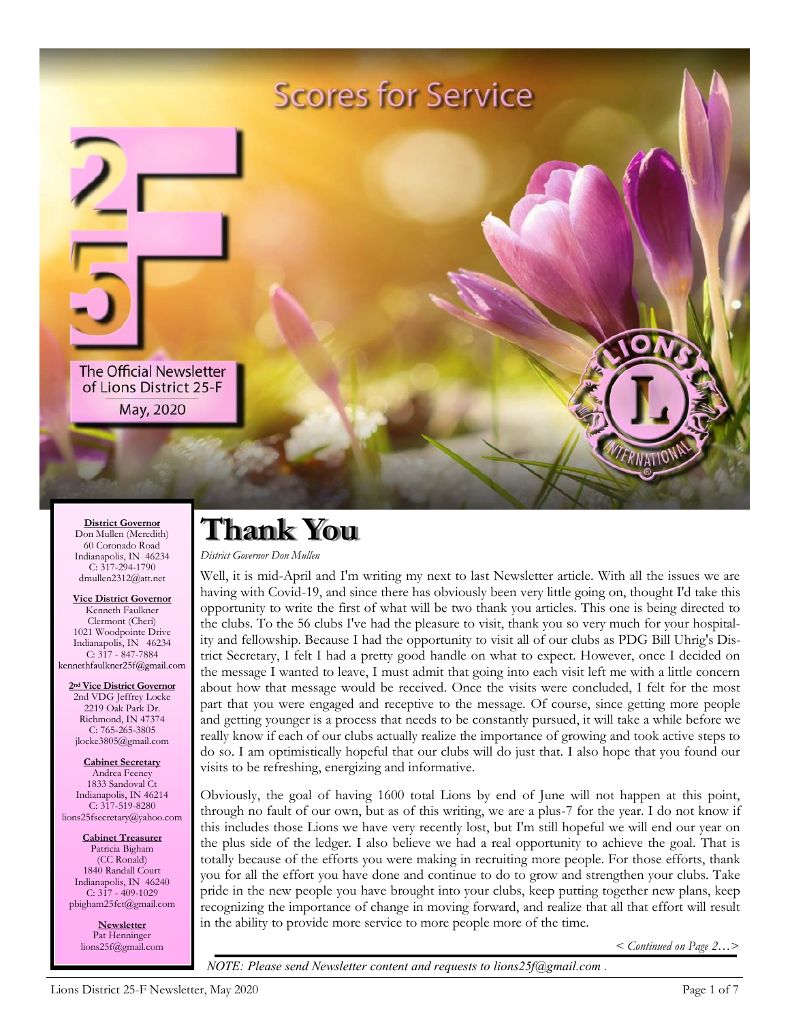

**District Governor** Don Mullen (Meredith) 60 Coronado Road Indianapolis, IN 46234 C: 317-294-1790 dmullen2312@att.net

**Vice District Governor** Kenneth Faulkner Clermont (Cheri) 1021 Woodpointe Drive Indianapolis, IN 46234 C:  $3\overline{17} - 847 - 7884$ <br>kennethfaulkner25f@gmail.com

**2nd Vice District Governor** 2nd VDG Jeffrey Locke 2219 Oak Park Dr. Richmond, IN 47374  $C: 765 - 265 - 3805$ jlocke3805@gmail.com

**Cabinet Secretary** Andrea Feeney 1833 Sandoval Ct Indianapolis, IN 46214 C: 317-519-8280 lions25fsecretary@yahoo.com

**Cabinet Treasurer** Patricia Bigham (CC Ronald) 1840 Randall Court Indianapolis, IN 46240  $C: 317 - 409 - 1029$ pbigham25fct@gmail.com

> **Newsletter** Pat Henninger lions25f@gmail.com

# **Thank You**

*District Governor Don Mullen*

Well, it is mid-April and I'm writing my next to last Newsletter article. With all the issues we are having with Covid-19, and since there has obviously been very little going on, thought I'd take this opportunity to write the first of what will be two thank you articles. This one is being directed to the clubs. To the 56 clubs I've had the pleasure to visit, thank you so very much for your hospitality and fellowship. Because I had the opportunity to visit all of our clubs as PDG Bill Uhrig's District Secretary, I felt I had a pretty good handle on what to expect. However, once I decided on the message I wanted to leave, I must admit that going into each visit left me with a little concern about how that message would be received. Once the visits were concluded, I felt for the most part that you were engaged and receptive to the message. Of course, since getting more people and getting younger is a process that needs to be constantly pursued, it will take a while before we really know if each of our clubs actually realize the importance of growing and took active steps to do so. I am optimistically hopeful that our clubs will do just that. I also hope that you found our visits to be refreshing, energizing and informative.

Obviously, the goal of having 1600 total Lions by end of June will not happen at this point, through no fault of our own, but as of this writing, we are a plus-7 for the year. I do not know if this includes those Lions we have very recently lost, but I'm still hopeful we will end our year on the plus side of the ledger. I also believe we had a real opportunity to achieve the goal. That is totally because of the efforts you were making in recruiting more people. For those efforts, thank you for all the effort you have done and continue to do to grow and strengthen your clubs. Take pride in the new people you have brought into your clubs, keep putting together new plans, keep recognizing the importance of change in moving forward, and realize that all that effort will result in the ability to provide more service to more people more of the time.

*< Continued on Page 2…>* 

*NOTE: Please send Newsletter content and requests to lions25f@gmail.com .*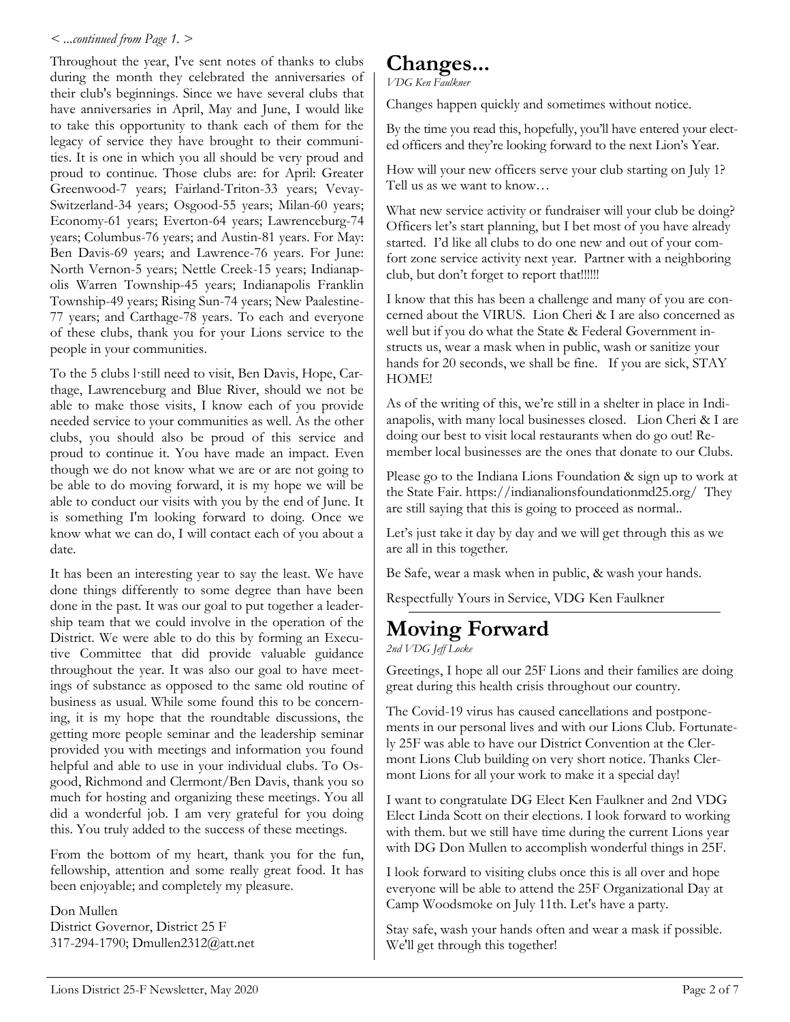#### *< ...continued from Page 1. >*

Throughout the year, I've sent notes of thanks to clubs during the month they celebrated the anniversaries of their club's beginnings. Since we have several clubs that have anniversaries in April, May and June, I would like to take this opportunity to thank each of them for the legacy of service they have brought to their communities. It is one in which you all should be very proud and proud to continue. Those clubs are: for April: Greater Greenwood-7 years; Fairland-Triton-33 years; Vevay-Switzerland-34 years; Osgood-55 years; Milan-60 years; Economy-61 years; Everton-64 years; Lawrenceburg-74 years; Columbus-76 years; and Austin-81 years. For May: Ben Davis-69 years; and Lawrence-76 years. For June: North Vernon-5 years; Nettle Creek-15 years; Indianapolis Warren Township-45 years; Indianapolis Franklin Township-49 years; Rising Sun-74 years; New Paalestine-77 years; and Carthage-78 years. To each and everyone of these clubs, thank you for your Lions service to the people in your communities.

To the 5 clubs l·still need to visit, Ben Davis, Hope, Carthage, Lawrenceburg and Blue River, should we not be able to make those visits, I know each of you provide needed service to your communities as well. As the other clubs, you should also be proud of this service and proud to continue it. You have made an impact. Even though we do not know what we are or are not going to be able to do moving forward, it is my hope we will be able to conduct our visits with you by the end of June. It is something I'm looking forward to doing. Once we know what we can do, I will contact each of you about a date.

It has been an interesting year to say the least. We have done things differently to some degree than have been done in the past. It was our goal to put together a leadership team that we could involve in the operation of the District. We were able to do this by forming an Executive Committee that did provide valuable guidance throughout the year. It was also our goal to have meetings of substance as opposed to the same old routine of business as usual. While some found this to be concerning, it is my hope that the roundtable discussions, the getting more people seminar and the leadership seminar provided you with meetings and information you found helpful and able to use in your individual clubs. To Osgood, Richmond and Clermont/Ben Davis, thank you so much for hosting and organizing these meetings. You all did a wonderful job. I am very grateful for you doing this. You truly added to the success of these meetings.

From the bottom of my heart, thank you for the fun, fellowship, attention and some really great food. It has been enjoyable; and completely my pleasure.

Don Mullen District Governor, District 25 F 317-294-1790; Dmullen2312@att.net

## **Changes...**

*VDG Ken Faulkner*

Changes happen quickly and sometimes without notice.

By the time you read this, hopefully, you'll have entered your elected officers and they're looking forward to the next Lion's Year.

How will your new officers serve your club starting on July 1? Tell us as we want to know…

What new service activity or fundraiser will your club be doing? Officers let's start planning, but I bet most of you have already started. I'd like all clubs to do one new and out of your comfort zone service activity next year. Partner with a neighboring club, but don't forget to report that!!!!!!

I know that this has been a challenge and many of you are concerned about the VIRUS. Lion Cheri & I are also concerned as well but if you do what the State & Federal Government instructs us, wear a mask when in public, wash or sanitize your hands for 20 seconds, we shall be fine. If you are sick, STAY HOME!

As of the writing of this, we're still in a shelter in place in Indianapolis, with many local businesses closed. Lion Cheri & I are doing our best to visit local restaurants when do go out! Remember local businesses are the ones that donate to our Clubs.

Please go to the Indiana Lions Foundation & sign up to work at the State Fair. https://indianalionsfoundationmd25.org/ They are still saying that this is going to proceed as normal..

Let's just take it day by day and we will get through this as we are all in this together.

Be Safe, wear a mask when in public, & wash your hands.

Respectfully Yours in Service, VDG Ken Faulkner

### **Moving Forward**

*2nd VDG Jeff Locke*

Greetings, I hope all our 25F Lions and their families are doing great during this health crisis throughout our country.

The Covid-19 virus has caused cancellations and postponements in our personal lives and with our Lions Club. Fortunately 25F was able to have our District Convention at the Clermont Lions Club building on very short notice. Thanks Clermont Lions for all your work to make it a special day!

I want to congratulate DG Elect Ken Faulkner and 2nd VDG Elect Linda Scott on their elections. I look forward to working with them. but we still have time during the current Lions year with DG Don Mullen to accomplish wonderful things in 25F.

I look forward to visiting clubs once this is all over and hope everyone will be able to attend the 25F Organizational Day at Camp Woodsmoke on July 11th. Let's have a party.

Stay safe, wash your hands often and wear a mask if possible. We'll get through this together!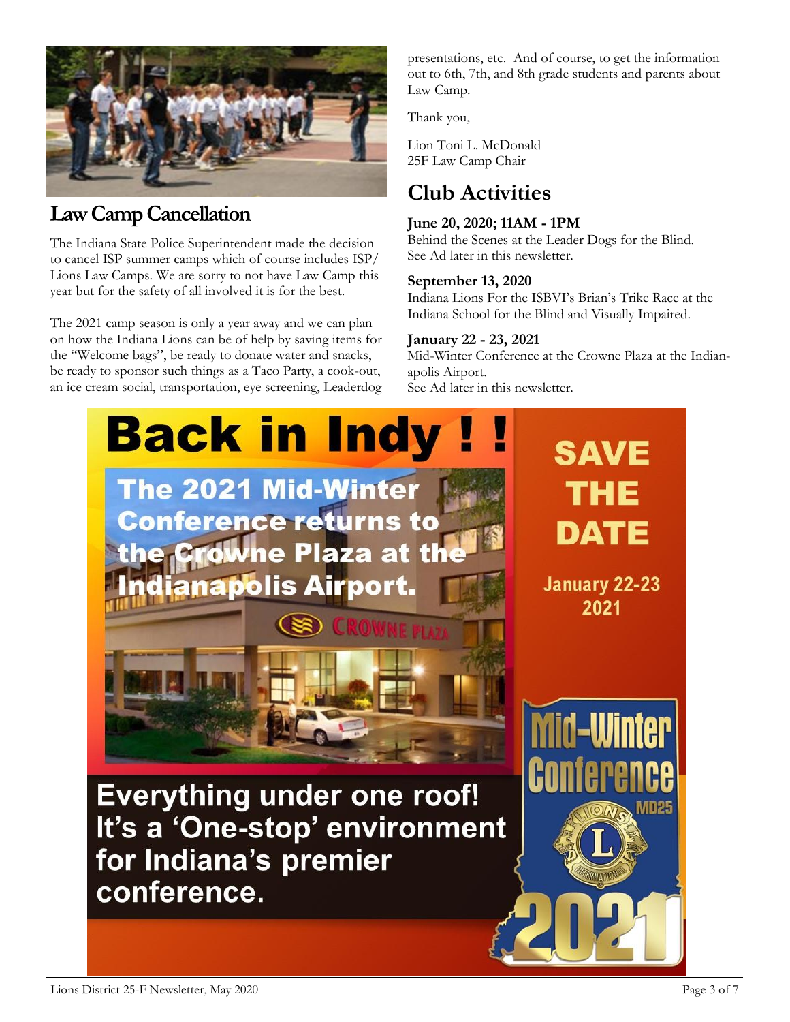

### **Law Camp Cancellation**

The Indiana State Police Superintendent made the decision to cancel ISP summer camps which of course includes ISP/ Lions Law Camps. We are sorry to not have Law Camp this year but for the safety of all involved it is for the best.

The 2021 camp season is only a year away and we can plan on how the Indiana Lions can be of help by saving items for the "Welcome bags", be ready to donate water and snacks, be ready to sponsor such things as a Taco Party, a cook-out, an ice cream social, transportation, eye screening, Leaderdog

presentations, etc. And of course, to get the information out to 6th, 7th, and 8th grade students and parents about Law Camp.

Thank you,

Lion Toni L. McDonald 25F Law Camp Chair

## **Club Activities**

#### **June 20, 2020; 11AM - 1PM**

Behind the Scenes at the Leader Dogs for the Blind. See Ad later in this newsletter.

#### **September 13, 2020**

Indiana Lions For the ISBVI's Brian's Trike Race at the Indiana School for the Blind and Visually Impaired.

#### **January 22 - 23, 2021**

Mid-Winter Conference at the Crowne Plaza at the Indianapolis Airport. See Ad later in this newsletter.

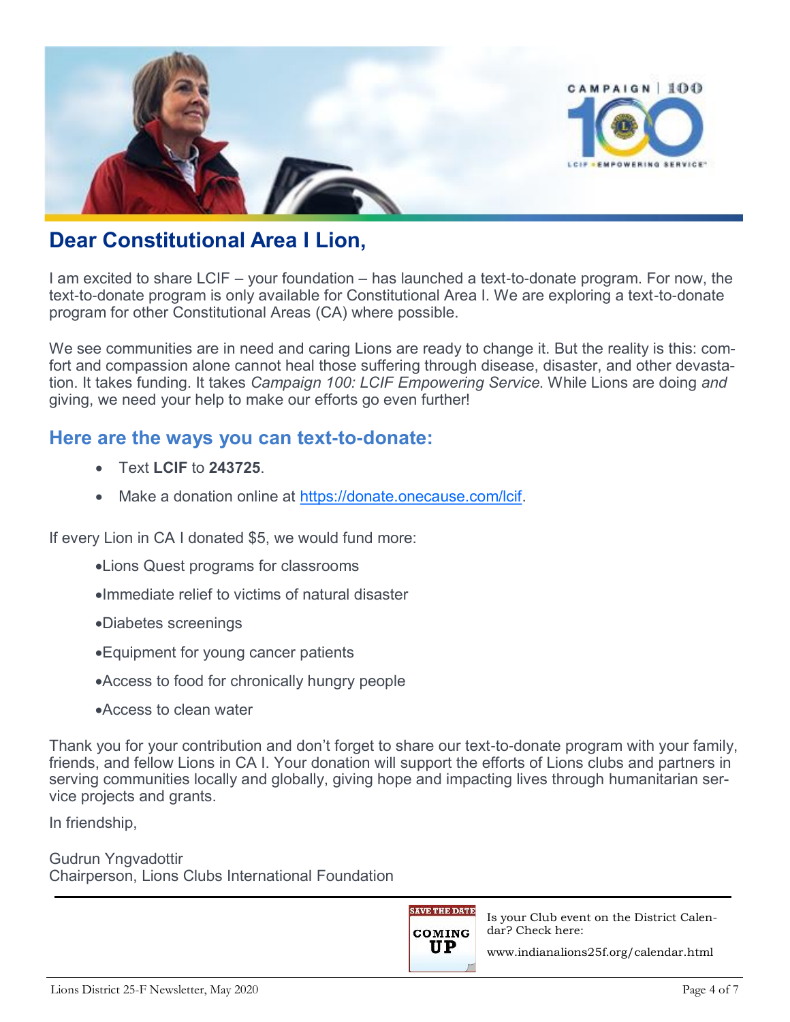

### **Dear Constitutional Area I Lion,**

I am excited to share LCIF – your foundation – has launched a text-to-donate program. For now, the text-to-donate program is only available for Constitutional Area I. We are exploring a text-to-donate program for other Constitutional Areas (CA) where possible.

We see communities are in need and caring Lions are ready to change it. But the reality is this: comfort and compassion alone cannot heal those suffering through disease, disaster, and other devastation. It takes funding. It takes *Campaign 100: LCIF Empowering Service*. While Lions are doing *and* giving, we need your help to make our efforts go even further!

### **Here are the ways you can text-to-donate:**

- Text **LCIF** to **243725**.
- Make a donation online at [https://donate.onecause.com/lcif.](http://app.e.roar.lionsclubs.org/e/er?utm_source=Eloqua&utm_campaign=LCF_EN_CA1%20Text-to-Donate_Email_2019&utm_medium=email&s=94443966&lid=6639&elqTrackId=B367474D4A305B8532EFBA567809F19D&elq=ff75eca344c14f08bc3d419076fbf7d3&elqaid=12768&elqat=1)

If every Lion in CA I donated \$5, we would fund more:

- •Lions Quest programs for classrooms
- •Immediate relief to victims of natural disaster
- •Diabetes screenings
- •Equipment for young cancer patients
- •Access to food for chronically hungry people
- •Access to clean water

Thank you for your contribution and don't forget to share our text-to-donate program with your family, friends, and fellow Lions in CA I. Your donation will support the efforts of Lions clubs and partners in serving communities locally and globally, giving hope and impacting lives through humanitarian service projects and grants.

In friendship,

Gudrun Yngvadottir Chairperson, Lions Clubs International Foundation



Is your Club event on the District Calendar? Check here:

www.indianalions25f.org/calendar.html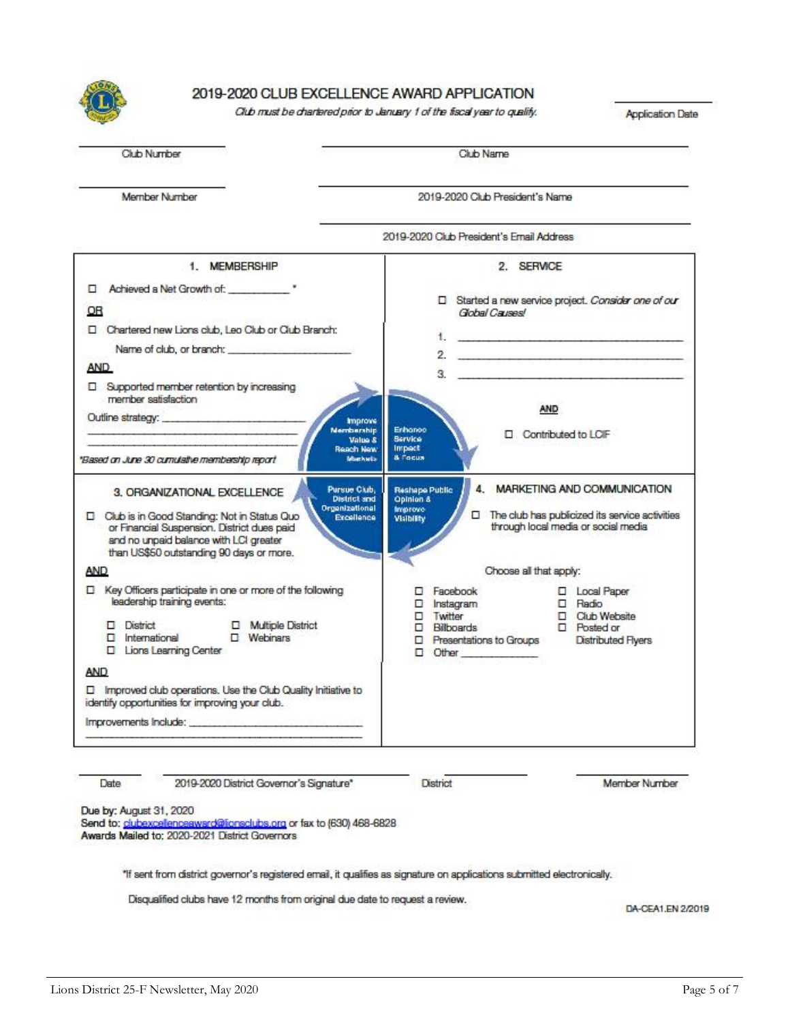

#### 2019-2020 CLUB EXCELLENCE AWARD APPLICATION

Club must be chartered prior to January 1 of the fiscal year to quality.

**Application Date** 

|  |  | <b>Club Number</b> |
|--|--|--------------------|
|  |  |                    |
|  |  |                    |
|  |  |                    |

Club Name

Member Number

2019-2020 Club President's Name



Date 2019-2020 District Governor's Signature" **District** 

Member Number

Due by: August 31, 2020

Send to: clubexcellenceaward@lionsclubs.org or fax to (630) 468-6828 Awards Mailed to: 2020-2021 District Governors

"If sent from district governor's registered email, it qualifies as signature on applications submitted electronically.

Disqualified clubs have 12 months from original due date to request a review.

DA-CEA1.EN 2/2019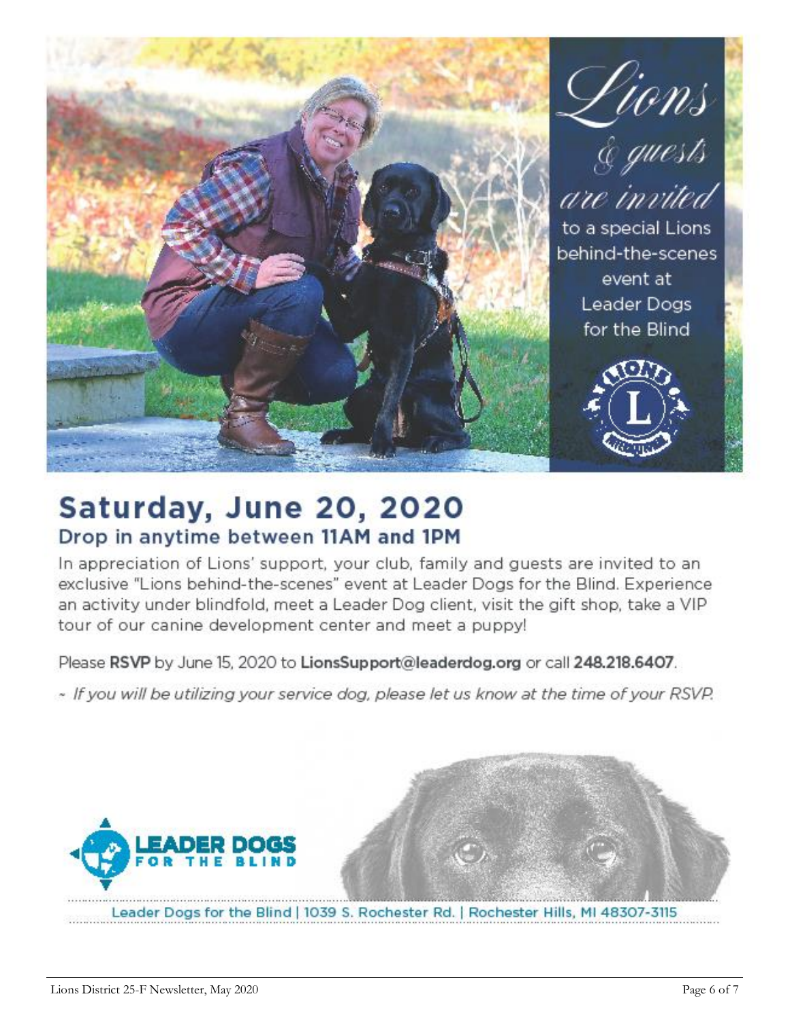

## Saturday, June 20, 2020 Drop in anytime between 11AM and 1PM

In appreciation of Lions' support, your club, family and guests are invited to an exclusive "Lions behind-the-scenes" event at Leader Dogs for the Blind. Experience an activity under blindfold, meet a Leader Dog client, visit the gift shop, take a VIP tour of our canine development center and meet a puppy!

Please RSVP by June 15, 2020 to LionsSupport@leaderdog.org or call 248.218.6407.

~ If you will be utilizing your service dog, please let us know at the time of your RSVP.

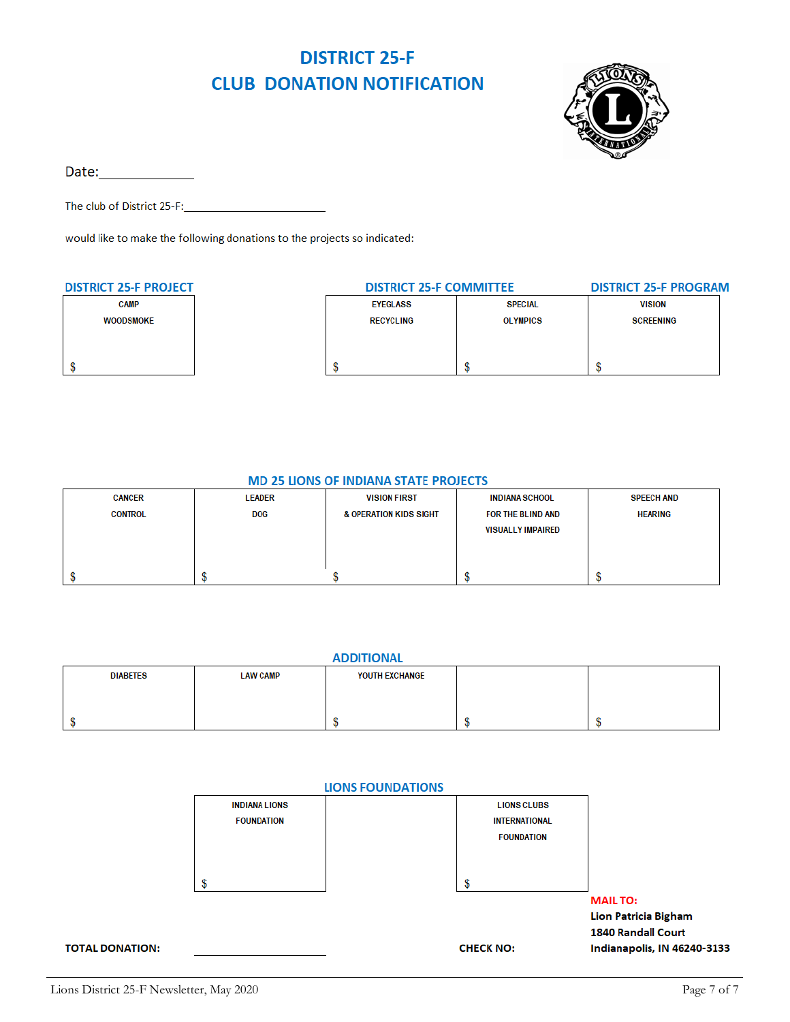### **DISTRICT 25-F CLUB DONATION NOTIFICATION**



Date: and the state of the state of the state of the state of the state of the state of the state of the state

The club of District 25-F:

would like to make the following donations to the projects so indicated:

| <b>DISTRICT 25-F PROJECT</b> | <b>DISTRICT 25-F COMMITTEE</b> | <b>DISTRICT 25-F PROGRAM</b> |                  |
|------------------------------|--------------------------------|------------------------------|------------------|
| <b>CAMP</b>                  | <b>EYEGLASS</b>                | <b>SPECIAL</b>               | <b>VISION</b>    |
| <b>WOODSMOKE</b>             | <b>RECYCLING</b>               | <b>OLYMPICS</b>              | <b>SCREENING</b> |
|                              |                                |                              |                  |
|                              |                                |                              |                  |
|                              |                                |                              |                  |

#### **MD 25 LIONS OF INDIANA STATE PROJECTS**

| <b>CANCER</b>  | <b>LEADER</b> | <b>VISION FIRST</b>               | <b>INDIANA SCHOOL</b>    | <b>SPEECH AND</b> |
|----------------|---------------|-----------------------------------|--------------------------|-------------------|
| <b>CONTROL</b> | <b>DOG</b>    | <b>&amp; OPERATION KIDS SIGHT</b> | FOR THE BLIND AND        | <b>HEARING</b>    |
|                |               |                                   | <b>VISUALLY IMPAIRED</b> |                   |
|                |               |                                   |                          |                   |
|                |               |                                   |                          |                   |
|                |               |                                   |                          |                   |

| <b>ADDITIONAL</b> |                 |                |  |  |  |  |
|-------------------|-----------------|----------------|--|--|--|--|
| <b>DIABETES</b>   | <b>LAW CAMP</b> | YOUTH EXCHANGE |  |  |  |  |
|                   |                 |                |  |  |  |  |
|                   |                 |                |  |  |  |  |
|                   |                 |                |  |  |  |  |
|                   |                 |                |  |  |  |  |